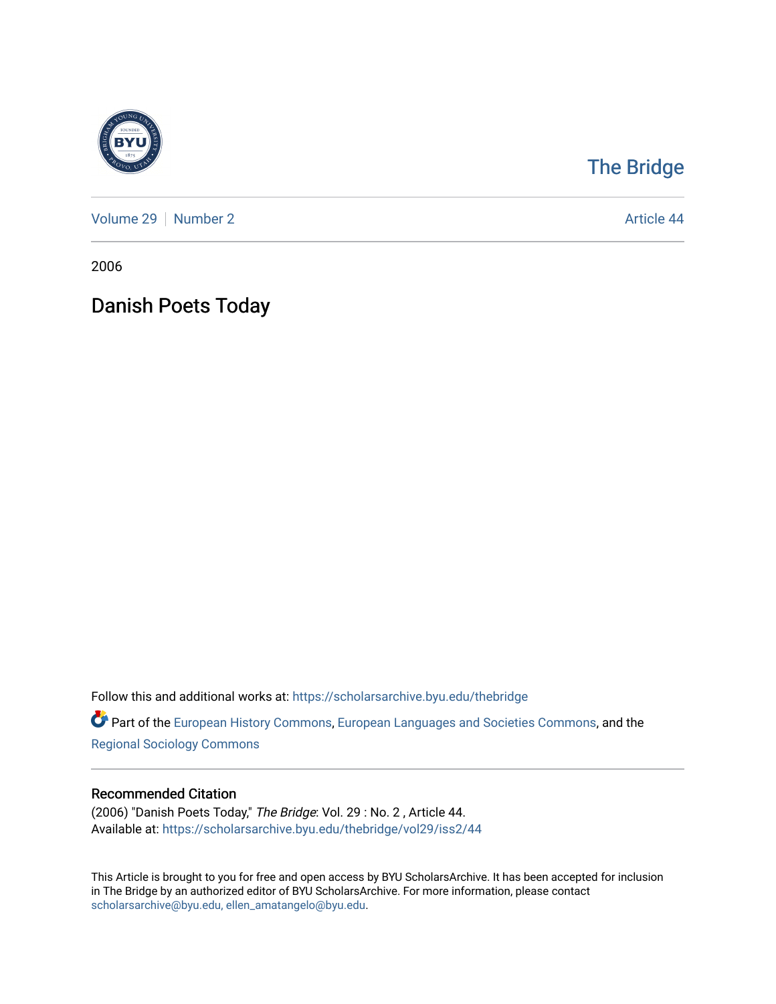

## [The Bridge](https://scholarsarchive.byu.edu/thebridge)

[Volume 29](https://scholarsarchive.byu.edu/thebridge/vol29) | [Number 2](https://scholarsarchive.byu.edu/thebridge/vol29/iss2) Article 44

2006

# Danish Poets Today

Follow this and additional works at: [https://scholarsarchive.byu.edu/thebridge](https://scholarsarchive.byu.edu/thebridge?utm_source=scholarsarchive.byu.edu%2Fthebridge%2Fvol29%2Fiss2%2F44&utm_medium=PDF&utm_campaign=PDFCoverPages) 

**Part of the [European History Commons](http://network.bepress.com/hgg/discipline/492?utm_source=scholarsarchive.byu.edu%2Fthebridge%2Fvol29%2Fiss2%2F44&utm_medium=PDF&utm_campaign=PDFCoverPages), [European Languages and Societies Commons,](http://network.bepress.com/hgg/discipline/482?utm_source=scholarsarchive.byu.edu%2Fthebridge%2Fvol29%2Fiss2%2F44&utm_medium=PDF&utm_campaign=PDFCoverPages) and the** [Regional Sociology Commons](http://network.bepress.com/hgg/discipline/427?utm_source=scholarsarchive.byu.edu%2Fthebridge%2Fvol29%2Fiss2%2F44&utm_medium=PDF&utm_campaign=PDFCoverPages) 

### Recommended Citation

(2006) "Danish Poets Today," The Bridge: Vol. 29 : No. 2 , Article 44. Available at: [https://scholarsarchive.byu.edu/thebridge/vol29/iss2/44](https://scholarsarchive.byu.edu/thebridge/vol29/iss2/44?utm_source=scholarsarchive.byu.edu%2Fthebridge%2Fvol29%2Fiss2%2F44&utm_medium=PDF&utm_campaign=PDFCoverPages)

This Article is brought to you for free and open access by BYU ScholarsArchive. It has been accepted for inclusion in The Bridge by an authorized editor of BYU ScholarsArchive. For more information, please contact [scholarsarchive@byu.edu, ellen\\_amatangelo@byu.edu](mailto:scholarsarchive@byu.edu,%20ellen_amatangelo@byu.edu).